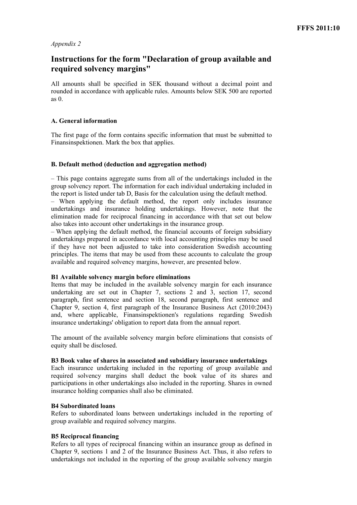# *Appendix 2*

# **Instructions for the form "Declaration of group available and required solvency margins"**

All amounts shall be specified in SEK thousand without a decimal point and rounded in accordance with applicable rules. Amounts below SEK 500 are reported as 0.

# **A. General information**

The first page of the form contains specific information that must be submitted to Finansinspektionen. Mark the box that applies.

# **B. Default method (deduction and aggregation method)**

– This page contains aggregate sums from all of the undertakings included in the group solvency report. The information for each individual undertaking included in the report is listed under tab D, Basis for the calculation using the default method.

– When applying the default method, the report only includes insurance undertakings and insurance holding undertakings. However, note that the elimination made for reciprocal financing in accordance with that set out below also takes into account other undertakings in the insurance group.

– When applying the default method, the financial accounts of foreign subsidiary undertakings prepared in accordance with local accounting principles may be used if they have not been adjusted to take into consideration Swedish accounting principles. The items that may be used from these accounts to calculate the group available and required solvency margins, however, are presented below.

## **B1 Available solvency margin before eliminations**

Items that may be included in the available solvency margin for each insurance undertaking are set out in Chapter 7, sections 2 and 3, section 17, second paragraph, first sentence and section 18, second paragraph, first sentence and Chapter 9, section 4, first paragraph of the Insurance Business Act (2010:2043) and, where applicable, Finansinspektionen's regulations regarding Swedish insurance undertakings' obligation to report data from the annual report.

The amount of the available solvency margin before eliminations that consists of equity shall be disclosed.

## **B3 Book value of shares in associated and subsidiary insurance undertakings**

Each insurance undertaking included in the reporting of group available and required solvency margins shall deduct the book value of its shares and participations in other undertakings also included in the reporting. Shares in owned insurance holding companies shall also be eliminated.

## **B4 Subordinated loans**

Refers to subordinated loans between undertakings included in the reporting of group available and required solvency margins.

## **B5 Reciprocal financing**

Refers to all types of reciprocal financing within an insurance group as defined in Chapter 9, sections 1 and 2 of the Insurance Business Act. Thus, it also refers to undertakings not included in the reporting of the group available solvency margin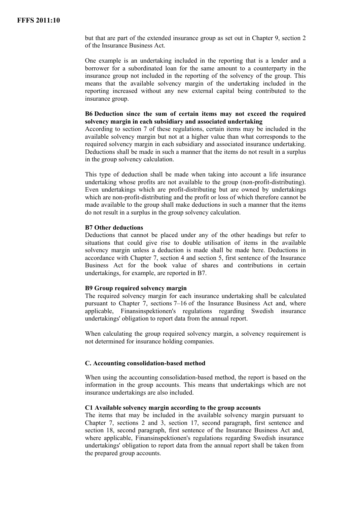but that are part of the extended insurance group as set out in Chapter 9, section 2 of the Insurance Business Act.

One example is an undertaking included in the reporting that is a lender and a borrower for a subordinated loan for the same amount to a counterparty in the insurance group not included in the reporting of the solvency of the group. This means that the available solvency margin of the undertaking included in the reporting increased without any new external capital being contributed to the insurance group.

#### **B6 Deduction since the sum of certain items may not exceed the required solvency margin in each subsidiary and associated undertaking**

According to section 7 of these regulations, certain items may be included in the available solvency margin but not at a higher value than what corresponds to the required solvency margin in each subsidiary and associated insurance undertaking. Deductions shall be made in such a manner that the items do not result in a surplus in the group solvency calculation.

This type of deduction shall be made when taking into account a life insurance undertaking whose profits are not available to the group (non-profit-distributing). Even undertakings which are profit-distributing but are owned by undertakings which are non-profit-distributing and the profit or loss of which therefore cannot be made available to the group shall make deductions in such a manner that the items do not result in a surplus in the group solvency calculation.

#### **B7 Other deductions**

Deductions that cannot be placed under any of the other headings but refer to situations that could give rise to double utilisation of items in the available solvency margin unless a deduction is made shall be made here. Deductions in accordance with Chapter 7, section 4 and section 5, first sentence of the Insurance Business Act for the book value of shares and contributions in certain undertakings, for example, are reported in B7.

#### **B9 Group required solvency margin**

The required solvency margin for each insurance undertaking shall be calculated pursuant to Chapter 7, sections 7–16 of the Insurance Business Act and, where applicable, Finansinspektionen's regulations regarding Swedish insurance undertakings' obligation to report data from the annual report.

When calculating the group required solvency margin, a solvency requirement is not determined for insurance holding companies.

#### **C. Accounting consolidation-based method**

When using the accounting consolidation-based method, the report is based on the information in the group accounts. This means that undertakings which are not insurance undertakings are also included.

#### **C1 Available solvency margin according to the group accounts**

The items that may be included in the available solvency margin pursuant to Chapter 7, sections 2 and 3, section 17, second paragraph, first sentence and section 18, second paragraph, first sentence of the Insurance Business Act and, where applicable, Finansinspektionen's regulations regarding Swedish insurance undertakings' obligation to report data from the annual report shall be taken from the prepared group accounts.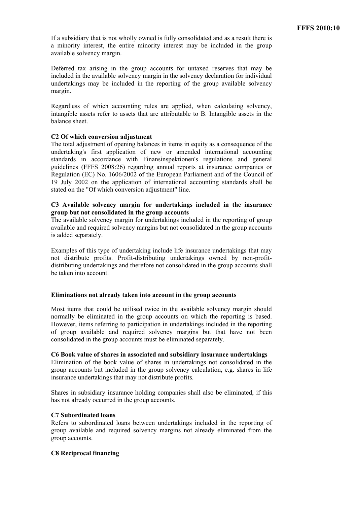If a subsidiary that is not wholly owned is fully consolidated and as a result there is a minority interest, the entire minority interest may be included in the group available solvency margin.

Deferred tax arising in the group accounts for untaxed reserves that may be included in the available solvency margin in the solvency declaration for individual undertakings may be included in the reporting of the group available solvency margin.

Regardless of which accounting rules are applied, when calculating solvency, intangible assets refer to assets that are attributable to B. Intangible assets in the balance sheet.

## **C2 Of which conversion adjustment**

The total adjustment of opening balances in items in equity as a consequence of the undertaking's first application of new or amended international accounting standards in accordance with Finansinspektionen's regulations and general guidelines (FFFS 2008:26) regarding annual reports at insurance companies or Regulation (EC) No. 1606/2002 of the European Parliament and of the Council of 19 July 2002 on the application of international accounting standards shall be stated on the "Of which conversion adjustment" line.

## **C3 Available solvency margin for undertakings included in the insurance group but not consolidated in the group accounts**

The available solvency margin for undertakings included in the reporting of group available and required solvency margins but not consolidated in the group accounts is added separately.

Examples of this type of undertaking include life insurance undertakings that may not distribute profits. Profit-distributing undertakings owned by non-profitdistributing undertakings and therefore not consolidated in the group accounts shall be taken into account.

## **Eliminations not already taken into account in the group accounts**

Most items that could be utilised twice in the available solvency margin should normally be eliminated in the group accounts on which the reporting is based. However, items referring to participation in undertakings included in the reporting of group available and required solvency margins but that have not been consolidated in the group accounts must be eliminated separately.

## **C6 Book value of shares in associated and subsidiary insurance undertakings**

Elimination of the book value of shares in undertakings not consolidated in the group accounts but included in the group solvency calculation, e.g. shares in life insurance undertakings that may not distribute profits.

Shares in subsidiary insurance holding companies shall also be eliminated, if this has not already occurred in the group accounts.

## **C7 Subordinated loans**

Refers to subordinated loans between undertakings included in the reporting of group available and required solvency margins not already eliminated from the group accounts.

## **C8 Reciprocal financing**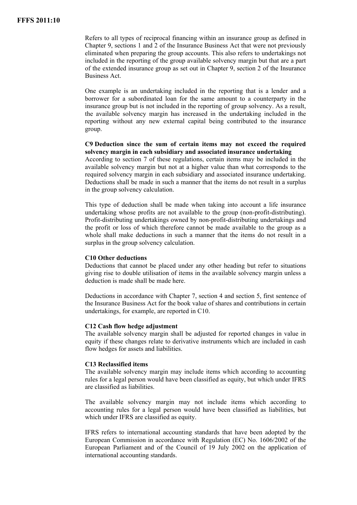Refers to all types of reciprocal financing within an insurance group as defined in Chapter 9, sections 1 and 2 of the Insurance Business Act that were not previously eliminated when preparing the group accounts. This also refers to undertakings not included in the reporting of the group available solvency margin but that are a part of the extended insurance group as set out in Chapter 9, section 2 of the Insurance Business Act.

One example is an undertaking included in the reporting that is a lender and a borrower for a subordinated loan for the same amount to a counterparty in the insurance group but is not included in the reporting of group solvency. As a result, the available solvency margin has increased in the undertaking included in the reporting without any new external capital being contributed to the insurance group.

# **C9 Deduction since the sum of certain items may not exceed the required solvency margin in each subsidiary and associated insurance undertaking**

According to section 7 of these regulations, certain items may be included in the available solvency margin but not at a higher value than what corresponds to the required solvency margin in each subsidiary and associated insurance undertaking. Deductions shall be made in such a manner that the items do not result in a surplus in the group solvency calculation.

This type of deduction shall be made when taking into account a life insurance undertaking whose profits are not available to the group (non-profit-distributing). Profit-distributing undertakings owned by non-profit-distributing undertakings and the profit or loss of which therefore cannot be made available to the group as a whole shall make deductions in such a manner that the items do not result in a surplus in the group solvency calculation.

## **C10 Other deductions**

Deductions that cannot be placed under any other heading but refer to situations giving rise to double utilisation of items in the available solvency margin unless a deduction is made shall be made here.

Deductions in accordance with Chapter 7, section 4 and section 5, first sentence of the Insurance Business Act for the book value of shares and contributions in certain undertakings, for example, are reported in C10.

## **C12 Cash flow hedge adjustment**

The available solvency margin shall be adjusted for reported changes in value in equity if these changes relate to derivative instruments which are included in cash flow hedges for assets and liabilities.

## **C13 Reclassified items**

The available solvency margin may include items which according to accounting rules for a legal person would have been classified as equity, but which under IFRS are classified as liabilities.

The available solvency margin may not include items which according to accounting rules for a legal person would have been classified as liabilities, but which under IFRS are classified as equity.

IFRS refers to international accounting standards that have been adopted by the European Commission in accordance with Regulation (EC) No. 1606/2002 of the European Parliament and of the Council of 19 July 2002 on the application of international accounting standards.